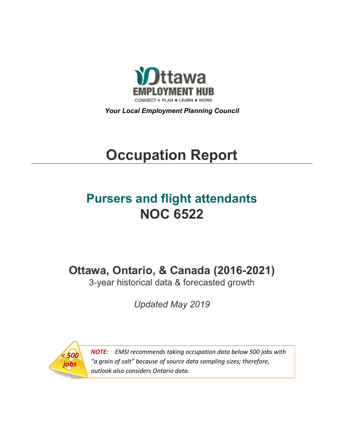

*Your Local Employment Planning Council*

# **Occupation Report**

## **Pursers and flight attendants NOC 6522**

**Ottawa, Ontario, & Canada (2016-2021)**

3-year historical data & forecasted growth

*Updated May 2019*



*NOTE: EMSI recommends taking occupation data below 500 jobs with "a grain of salt" because of source data sampling sizes; therefore, outlook also considers Ontario data.*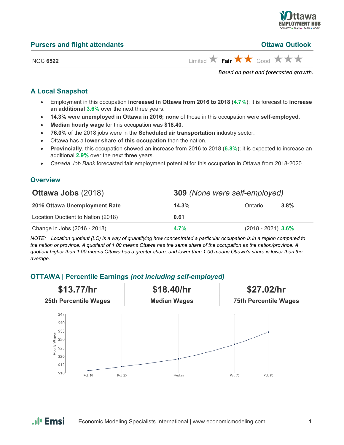

**Putawa Outlook** 

| <b>Pursers and flight attendants</b> |  |  |
|--------------------------------------|--|--|
|                                      |  |  |

NOC 6522 **Limited Fair**  $\star$  **Fair**  $\star$  Good  $\star$   $\star$   $\star$ 

*Based on past and forecasted growth.*

#### **A Local Snapshot**

- Employment in this occupation **increased in Ottawa from 2016 to 2018** (**4.7%**); it is forecast to **increase an additional 3.6%** over the next three years.
- **14.3%** were **unemployed in Ottawa in 2016; none** of those in this occupation were **self-employed**.
- **Median hourly wage** for this occupation was **\$18.40**.
- **76.0%** of the 2018 jobs were in the **Scheduled air transportation** industry sector.
- Ottawa has a **lower share of this occupation** than the nation.
- **Provincially**, this occupation showed an increase from 2016 to 2018 (**6.8%**); it is expected to increase an additional **2.9%** over the next three years.
- *Canada Job Bank* forecasted **fair** employment potential for this occupation in Ottawa from 2018-2020.

#### **Overview**

| <b>Ottawa Jobs (2018)</b>          | <b>309</b> (None were self-employed) |                      |         |
|------------------------------------|--------------------------------------|----------------------|---------|
| 2016 Ottawa Unemployment Rate      | 14.3%                                | Ontario              | $3.8\%$ |
| Location Quotient to Nation (2018) | 0.61                                 |                      |         |
| Change in Jobs (2016 - 2018)       | $4.7\%$                              | $(2018 - 2021)$ 3.6% |         |

*NOTE: Location quotient (LQ) is a way of quantifying how concentrated a particular occupation is in a region compared to the nation or province. A quotient of 1.00 means Ottawa has the same share of the occupation as the nation/province. A quotient higher than 1.00 means Ottawa has a greater share, and lower than 1.00 means Ottawa's share is lower than the average.*

#### **OTTAWA | Percentile Earnings** *(not including self-employed)*



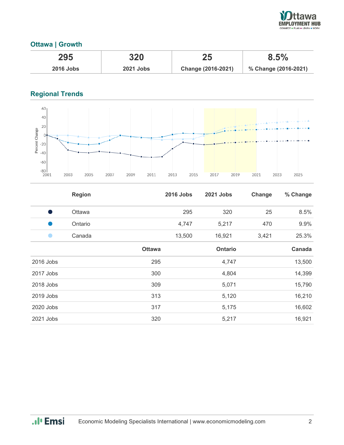

#### **Ottawa | Growth**

| 295              | 320              | 25                 | 8.5%                 |
|------------------|------------------|--------------------|----------------------|
| <b>2016 Jobs</b> | <b>2021 Jobs</b> | Change (2016-2021) | % Change (2016-2021) |

### **Regional Trends**



|               | <b>Region</b> |               | <b>2016 Jobs</b> | 2021 Jobs      | Change | % Change |
|---------------|---------------|---------------|------------------|----------------|--------|----------|
| o de la provi | Ottawa        |               | 295              | 320            | 25     | 8.5%     |
|               | Ontario       |               | 4,747            | 5,217          | 470    | 9.9%     |
| n             | Canada        |               | 13,500           | 16,921         | 3,421  | 25.3%    |
|               |               | <b>Ottawa</b> |                  | <b>Ontario</b> |        | Canada   |
| 2016 Jobs     |               | 295           |                  | 4,747          |        | 13,500   |
| 2017 Jobs     |               | 300           |                  | 4,804          |        | 14,399   |
| 2018 Jobs     |               | 309           |                  | 5,071          |        | 15,790   |
| 2019 Jobs     |               | 313           |                  | 5,120          |        | 16,210   |
| 2020 Jobs     |               | 317           |                  | 5,175          |        | 16,602   |
| 2021 Jobs     |               | 320           |                  | 5,217          |        | 16,921   |

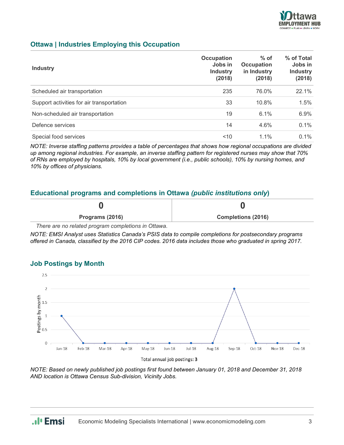

#### **Ottawa | Industries Employing this Occupation**

| <b>Industry</b>                           | Occupation<br>Jobs in<br><b>Industry</b><br>(2018) | $%$ of<br>Occupation<br>in Industry<br>(2018) | % of Total<br>Jobs in<br><b>Industry</b><br>(2018) |
|-------------------------------------------|----------------------------------------------------|-----------------------------------------------|----------------------------------------------------|
| Scheduled air transportation              | 235                                                | 76.0%                                         | 22.1%                                              |
| Support activities for air transportation | 33                                                 | 10.8%                                         | 1.5%                                               |
| Non-scheduled air transportation          | 19                                                 | 6.1%                                          | 6.9%                                               |
| Defence services                          | 14                                                 | 4.6%                                          | 0.1%                                               |
| Special food services                     | 10<                                                | $1.1\%$                                       | $0.1\%$                                            |

*NOTE: Inverse staffing patterns provides a table of percentages that shows how regional occupations are divided up among regional industries. For example, an inverse staffing pattern for registered nurses may show that 70% of RNs are employed by hospitals, 10% by local government (i.e., public schools), 10% by nursing homes, and 10% by offices of physicians.*

#### **Educational programs and completions in Ottawa** *(public institutions only***)**

| Programs (2016) | <b>Completions (2016)</b> |
|-----------------|---------------------------|

*There are no related program completions in Ottawa.*

*NOTE: EMSI Analyst uses Statistics Canada's PSIS data to compile completions for postsecondary programs offered in Canada, classified by the 2016 CIP codes. 2016 data includes those who graduated in spring 2017.*

#### **Job Postings by Month**



*NOTE: Based on newly published job postings first found between January 01, 2018 and December 31, 2018 AND location is Ottawa Census Sub-division, Vicinity Jobs.*